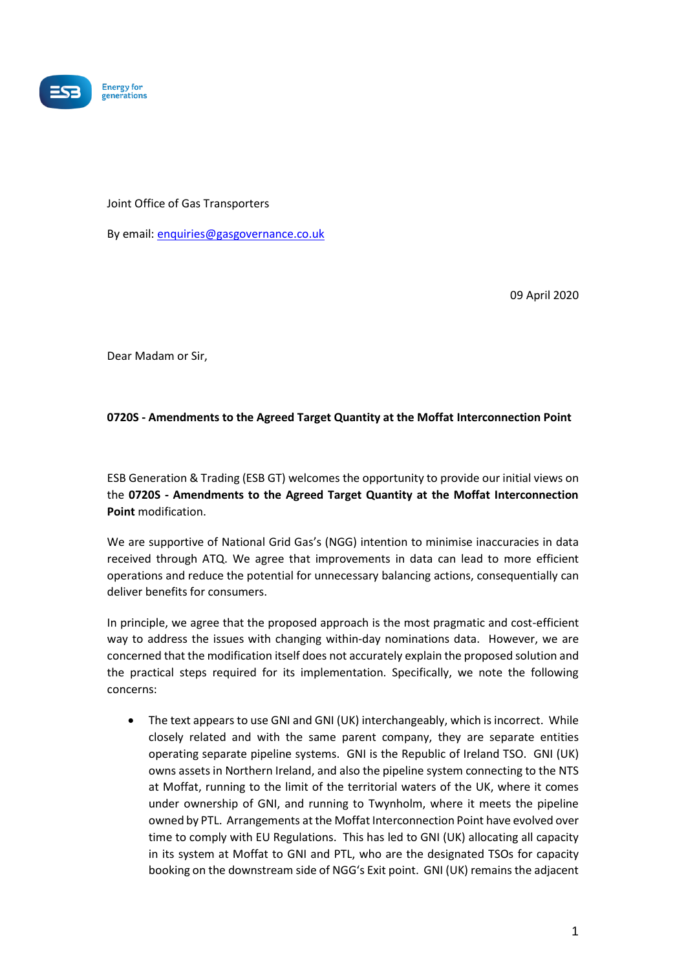

## Joint Office of Gas Transporters

By email: [enquiries@gasgovernance.co.uk](mailto:enquiries@gasgovernance.co.uk)

09 April 2020

Dear Madam or Sir,

## **0720S - Amendments to the Agreed Target Quantity at the Moffat Interconnection Point**

ESB Generation & Trading (ESB GT) welcomes the opportunity to provide our initial views on the **0720S - Amendments to the Agreed Target Quantity at the Moffat Interconnection Point** modification.

We are supportive of National Grid Gas's (NGG) intention to minimise inaccuracies in data received through ATQ. We agree that improvements in data can lead to more efficient operations and reduce the potential for unnecessary balancing actions, consequentially can deliver benefits for consumers.

In principle, we agree that the proposed approach is the most pragmatic and cost-efficient way to address the issues with changing within-day nominations data. However, we are concerned that the modification itself does not accurately explain the proposed solution and the practical steps required for its implementation. Specifically, we note the following concerns:

• The text appears to use GNI and GNI (UK) interchangeably, which is incorrect. While closely related and with the same parent company, they are separate entities operating separate pipeline systems. GNI is the Republic of Ireland TSO. GNI (UK) owns assets in Northern Ireland, and also the pipeline system connecting to the NTS at Moffat, running to the limit of the territorial waters of the UK, where it comes under ownership of GNI, and running to Twynholm, where it meets the pipeline owned by PTL. Arrangements at the Moffat Interconnection Point have evolved over time to comply with EU Regulations. This has led to GNI (UK) allocating all capacity in its system at Moffat to GNI and PTL, who are the designated TSOs for capacity booking on the downstream side of NGG's Exit point. GNI (UK) remains the adjacent